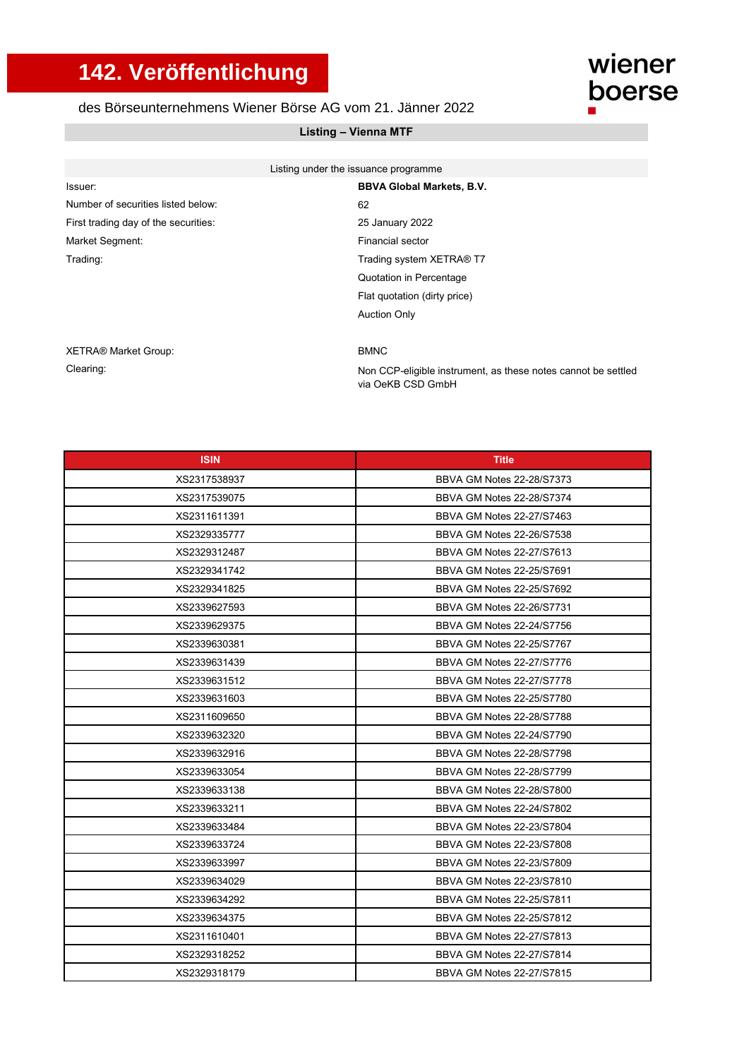## **142. Veröffentlichung**

## des Börseunternehmens Wiener Börse AG vom 21. Jänner 2022

## **Listing – Vienna MTF**

| Listing under the issuance programme |  |
|--------------------------------------|--|
| <b>BBVA Global Markets, B.V.</b>     |  |
| 62                                   |  |
| 25 January 2022                      |  |
| Financial sector                     |  |
| Trading system XETRA® T7             |  |
| Quotation in Percentage              |  |
| Flat quotation (dirty price)         |  |
| <b>Auction Only</b>                  |  |
|                                      |  |
|                                      |  |

## XETRA® Market Group: BMNC

Clearing:

Non CCP-eligible instrument, as these notes cannot be settled via OeKB CSD GmbH

wiener

boerse

| <b>ISIN</b>  | <b>Title</b>              |
|--------------|---------------------------|
| XS2317538937 | BBVA GM Notes 22-28/S7373 |
| XS2317539075 | BBVA GM Notes 22-28/S7374 |
| XS2311611391 | BBVA GM Notes 22-27/S7463 |
| XS2329335777 | BBVA GM Notes 22-26/S7538 |
| XS2329312487 | BBVA GM Notes 22-27/S7613 |
| XS2329341742 | BBVA GM Notes 22-25/S7691 |
| XS2329341825 | BBVA GM Notes 22-25/S7692 |
| XS2339627593 | BBVA GM Notes 22-26/S7731 |
| XS2339629375 | BBVA GM Notes 22-24/S7756 |
| XS2339630381 | BBVA GM Notes 22-25/S7767 |
| XS2339631439 | BBVA GM Notes 22-27/S7776 |
| XS2339631512 | BBVA GM Notes 22-27/S7778 |
| XS2339631603 | BBVA GM Notes 22-25/S7780 |
| XS2311609650 | BBVA GM Notes 22-28/S7788 |
| XS2339632320 | BBVA GM Notes 22-24/S7790 |
| XS2339632916 | BBVA GM Notes 22-28/S7798 |
| XS2339633054 | BBVA GM Notes 22-28/S7799 |
| XS2339633138 | BBVA GM Notes 22-28/S7800 |
| XS2339633211 | BBVA GM Notes 22-24/S7802 |
| XS2339633484 | BBVA GM Notes 22-23/S7804 |
| XS2339633724 | BBVA GM Notes 22-23/S7808 |
| XS2339633997 | BBVA GM Notes 22-23/S7809 |
| XS2339634029 | BBVA GM Notes 22-23/S7810 |
| XS2339634292 | BBVA GM Notes 22-25/S7811 |
| XS2339634375 | BBVA GM Notes 22-25/S7812 |
| XS2311610401 | BBVA GM Notes 22-27/S7813 |
| XS2329318252 | BBVA GM Notes 22-27/S7814 |
| XS2329318179 | BBVA GM Notes 22-27/S7815 |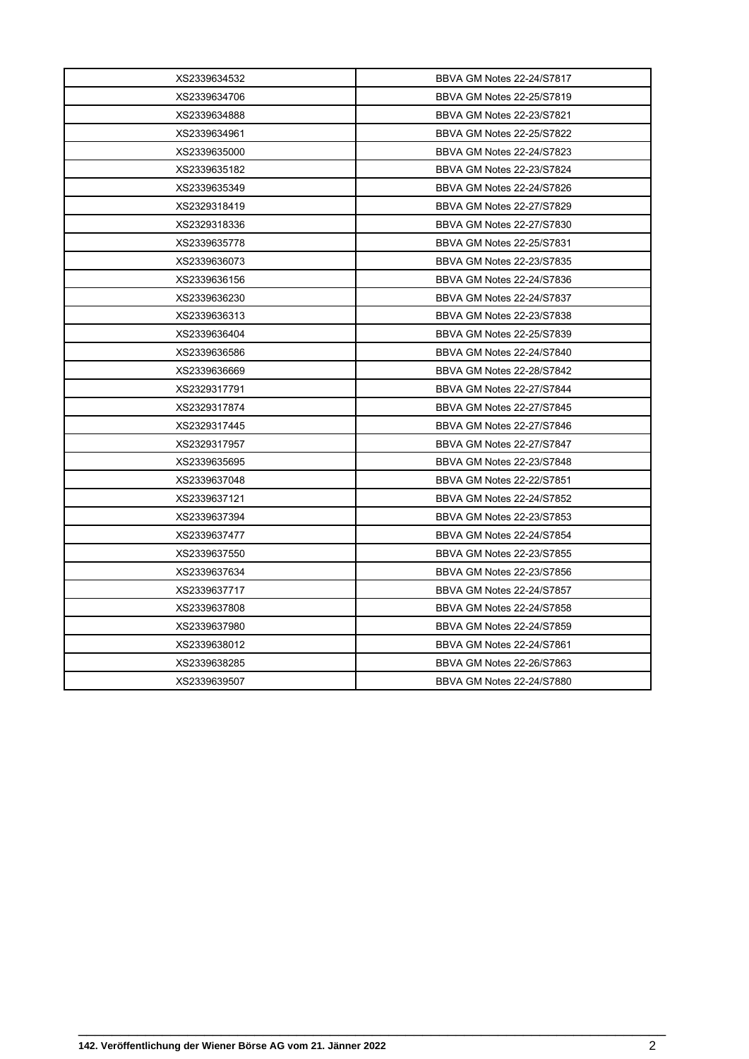| XS2339634532 | BBVA GM Notes 22-24/S7817 |
|--------------|---------------------------|
| XS2339634706 | BBVA GM Notes 22-25/S7819 |
| XS2339634888 | BBVA GM Notes 22-23/S7821 |
| XS2339634961 | BBVA GM Notes 22-25/S7822 |
| XS2339635000 | BBVA GM Notes 22-24/S7823 |
| XS2339635182 | BBVA GM Notes 22-23/S7824 |
| XS2339635349 | BBVA GM Notes 22-24/S7826 |
| XS2329318419 | BBVA GM Notes 22-27/S7829 |
| XS2329318336 | BBVA GM Notes 22-27/S7830 |
| XS2339635778 | BBVA GM Notes 22-25/S7831 |
| XS2339636073 | BBVA GM Notes 22-23/S7835 |
| XS2339636156 | BBVA GM Notes 22-24/S7836 |
| XS2339636230 | BBVA GM Notes 22-24/S7837 |
| XS2339636313 | BBVA GM Notes 22-23/S7838 |
| XS2339636404 | BBVA GM Notes 22-25/S7839 |
| XS2339636586 | BBVA GM Notes 22-24/S7840 |
| XS2339636669 | BBVA GM Notes 22-28/S7842 |
| XS2329317791 | BBVA GM Notes 22-27/S7844 |
| XS2329317874 | BBVA GM Notes 22-27/S7845 |
| XS2329317445 | BBVA GM Notes 22-27/S7846 |
| XS2329317957 | BBVA GM Notes 22-27/S7847 |
| XS2339635695 | BBVA GM Notes 22-23/S7848 |
| XS2339637048 | BBVA GM Notes 22-22/S7851 |
| XS2339637121 | BBVA GM Notes 22-24/S7852 |
| XS2339637394 | BBVA GM Notes 22-23/S7853 |
| XS2339637477 | BBVA GM Notes 22-24/S7854 |
| XS2339637550 | BBVA GM Notes 22-23/S7855 |
| XS2339637634 | BBVA GM Notes 22-23/S7856 |
| XS2339637717 | BBVA GM Notes 22-24/S7857 |
| XS2339637808 | BBVA GM Notes 22-24/S7858 |
| XS2339637980 | BBVA GM Notes 22-24/S7859 |
| XS2339638012 | BBVA GM Notes 22-24/S7861 |
| XS2339638285 | BBVA GM Notes 22-26/S7863 |
| XS2339639507 | BBVA GM Notes 22-24/S7880 |

\_\_\_\_\_\_\_\_\_\_\_\_\_\_\_\_\_\_\_\_\_\_\_\_\_\_\_\_\_\_\_\_\_\_\_\_\_\_\_\_\_\_\_\_\_\_\_\_\_\_\_\_\_\_\_\_\_\_\_\_\_\_\_\_\_\_\_\_\_\_